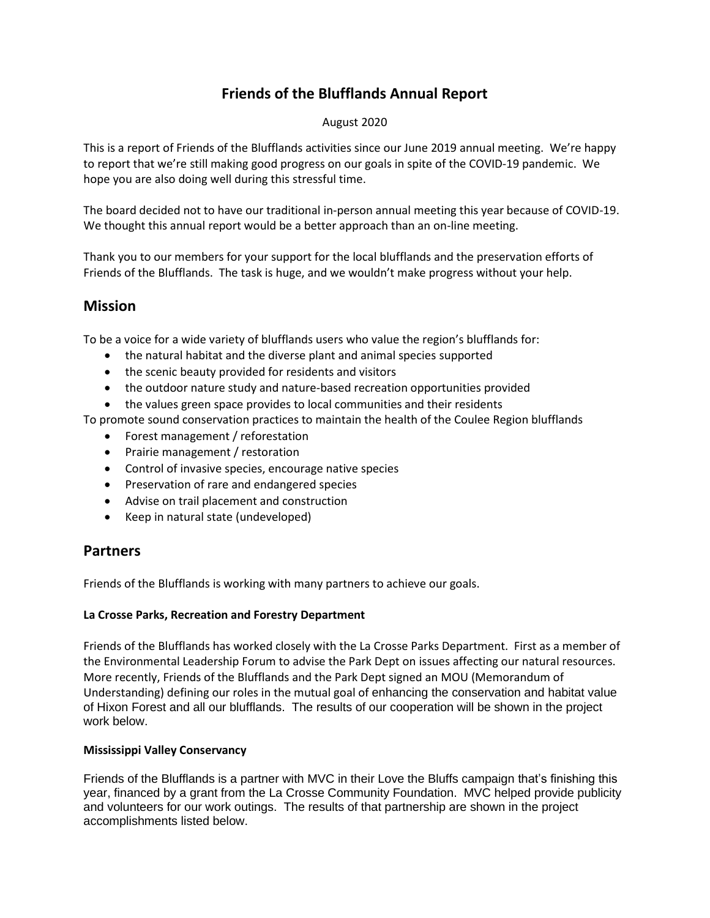# **Friends of the Blufflands Annual Report**

## August 2020

This is a report of Friends of the Blufflands activities since our June 2019 annual meeting. We're happy to report that we're still making good progress on our goals in spite of the COVID-19 pandemic. We hope you are also doing well during this stressful time.

The board decided not to have our traditional in-person annual meeting this year because of COVID-19. We thought this annual report would be a better approach than an on-line meeting.

Thank you to our members for your support for the local blufflands and the preservation efforts of Friends of the Blufflands. The task is huge, and we wouldn't make progress without your help.

## **Mission**

To be a voice for a wide variety of blufflands users who value the region's blufflands for:

- the natural habitat and the diverse plant and animal species supported
- the scenic beauty provided for residents and visitors
- the outdoor nature study and nature-based recreation opportunities provided
- the values green space provides to local communities and their residents

To promote sound conservation practices to maintain the health of the Coulee Region blufflands

- Forest management / reforestation
- Prairie management / restoration
- Control of invasive species, encourage native species
- Preservation of rare and endangered species
- Advise on trail placement and construction
- Keep in natural state (undeveloped)

## **Partners**

Friends of the Blufflands is working with many partners to achieve our goals.

## **La Crosse Parks, Recreation and Forestry Department**

Friends of the Blufflands has worked closely with the La Crosse Parks Department. First as a member of the Environmental Leadership Forum to advise the Park Dept on issues affecting our natural resources. More recently, Friends of the Blufflands and the Park Dept signed an MOU (Memorandum of Understanding) defining our roles in the mutual goal of enhancing the conservation and habitat value of Hixon Forest and all our blufflands. The results of our cooperation will be shown in the project work below.

## **Mississippi Valley Conservancy**

Friends of the Blufflands is a partner with MVC in their Love the Bluffs campaign that's finishing this year, financed by a grant from the La Crosse Community Foundation. MVC helped provide publicity and volunteers for our work outings. The results of that partnership are shown in the project accomplishments listed below.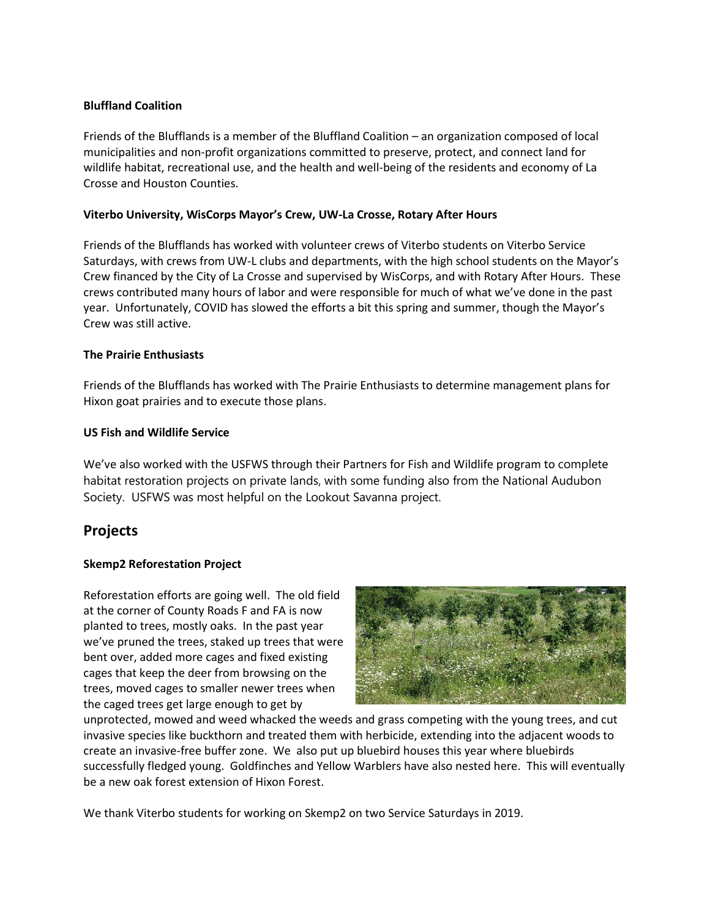## **Bluffland Coalition**

Friends of the Blufflands is a member of the Bluffland Coalition – an organization composed of local municipalities and non-profit organizations committed to preserve, protect, and connect land for wildlife habitat, recreational use, and the health and well-being of the residents and economy of La Crosse and Houston Counties.

## **Viterbo University, WisCorps Mayor's Crew, UW-La Crosse, Rotary After Hours**

Friends of the Blufflands has worked with volunteer crews of Viterbo students on Viterbo Service Saturdays, with crews from UW-L clubs and departments, with the high school students on the Mayor's Crew financed by the City of La Crosse and supervised by WisCorps, and with Rotary After Hours. These crews contributed many hours of labor and were responsible for much of what we've done in the past year. Unfortunately, COVID has slowed the efforts a bit this spring and summer, though the Mayor's Crew was still active.

## **The Prairie Enthusiasts**

Friends of the Blufflands has worked with The Prairie Enthusiasts to determine management plans for Hixon goat prairies and to execute those plans.

## **US Fish and Wildlife Service**

We've also worked with the USFWS through their Partners for Fish and Wildlife program to complete habitat restoration projects on private lands, with some funding also from the National Audubon Society. USFWS was most helpful on the Lookout Savanna project.

## **Projects**

## **Skemp2 Reforestation Project**

Reforestation efforts are going well. The old field at the corner of County Roads F and FA is now planted to trees, mostly oaks. In the past year we've pruned the trees, staked up trees that were bent over, added more cages and fixed existing cages that keep the deer from browsing on the trees, moved cages to smaller newer trees when the caged trees get large enough to get by



unprotected, mowed and weed whacked the weeds and grass competing with the young trees, and cut invasive species like buckthorn and treated them with herbicide, extending into the adjacent woods to create an invasive-free buffer zone. We also put up bluebird houses this year where bluebirds successfully fledged young. Goldfinches and Yellow Warblers have also nested here. This will eventually be a new oak forest extension of Hixon Forest.

We thank Viterbo students for working on Skemp2 on two Service Saturdays in 2019.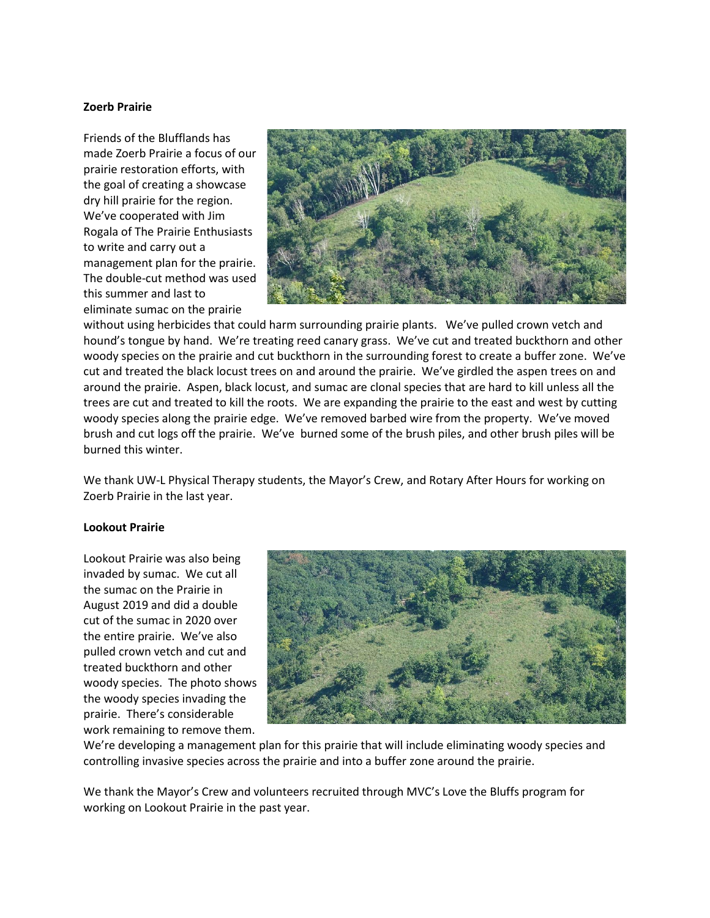#### **Zoerb Prairie**

Friends of the Blufflands has made Zoerb Prairie a focus of our prairie restoration efforts, with the goal of creating a showcase dry hill prairie for the region. We've cooperated with Jim Rogala of The Prairie Enthusiasts to write and carry out a management plan for the prairie. The double-cut method was used this summer and last to eliminate sumac on the prairie



without using herbicides that could harm surrounding prairie plants. We've pulled crown vetch and hound's tongue by hand. We're treating reed canary grass. We've cut and treated buckthorn and other woody species on the prairie and cut buckthorn in the surrounding forest to create a buffer zone. We've cut and treated the black locust trees on and around the prairie. We've girdled the aspen trees on and around the prairie. Aspen, black locust, and sumac are clonal species that are hard to kill unless all the trees are cut and treated to kill the roots. We are expanding the prairie to the east and west by cutting woody species along the prairie edge. We've removed barbed wire from the property. We've moved brush and cut logs off the prairie. We've burned some of the brush piles, and other brush piles will be burned this winter.

We thank UW-L Physical Therapy students, the Mayor's Crew, and Rotary After Hours for working on Zoerb Prairie in the last year.

#### **Lookout Prairie**

Lookout Prairie was also being invaded by sumac. We cut all the sumac on the Prairie in August 2019 and did a double cut of the sumac in 2020 over the entire prairie. We've also pulled crown vetch and cut and treated buckthorn and other woody species. The photo shows the woody species invading the prairie. There's considerable work remaining to remove them.



We're developing a management plan for this prairie that will include eliminating woody species and controlling invasive species across the prairie and into a buffer zone around the prairie.

We thank the Mayor's Crew and volunteers recruited through MVC's Love the Bluffs program for working on Lookout Prairie in the past year.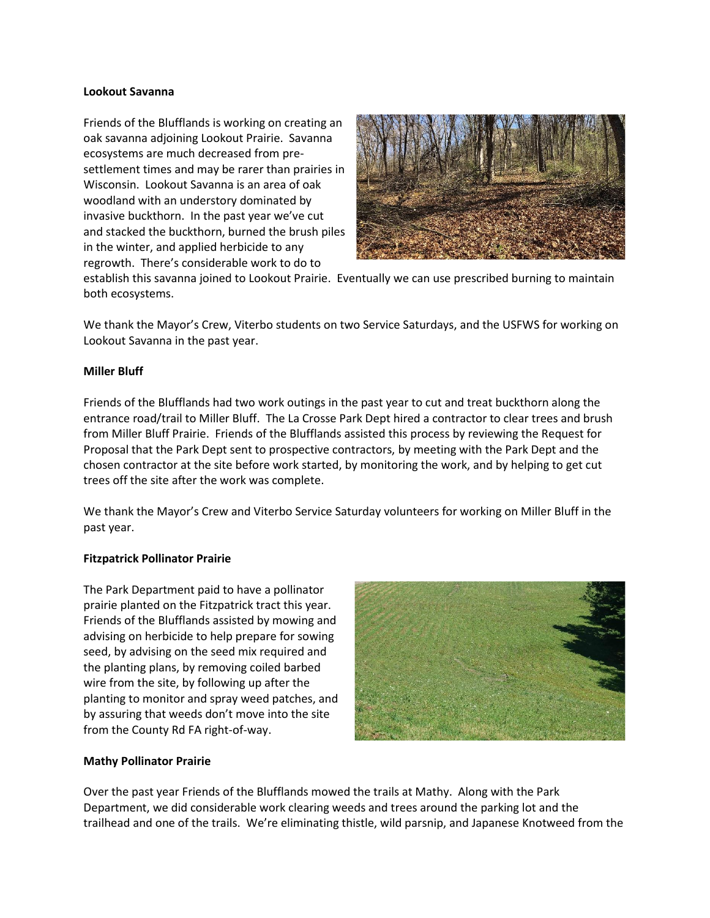#### **Lookout Savanna**

Friends of the Blufflands is working on creating an oak savanna adjoining Lookout Prairie. Savanna ecosystems are much decreased from presettlement times and may be rarer than prairies in Wisconsin. Lookout Savanna is an area of oak woodland with an understory dominated by invasive buckthorn. In the past year we've cut and stacked the buckthorn, burned the brush piles in the winter, and applied herbicide to any regrowth. There's considerable work to do to



establish this savanna joined to Lookout Prairie. Eventually we can use prescribed burning to maintain both ecosystems.

We thank the Mayor's Crew, Viterbo students on two Service Saturdays, and the USFWS for working on Lookout Savanna in the past year.

## **Miller Bluff**

Friends of the Blufflands had two work outings in the past year to cut and treat buckthorn along the entrance road/trail to Miller Bluff. The La Crosse Park Dept hired a contractor to clear trees and brush from Miller Bluff Prairie. Friends of the Blufflands assisted this process by reviewing the Request for Proposal that the Park Dept sent to prospective contractors, by meeting with the Park Dept and the chosen contractor at the site before work started, by monitoring the work, and by helping to get cut trees off the site after the work was complete.

We thank the Mayor's Crew and Viterbo Service Saturday volunteers for working on Miller Bluff in the past year.

## **Fitzpatrick Pollinator Prairie**

The Park Department paid to have a pollinator prairie planted on the Fitzpatrick tract this year. Friends of the Blufflands assisted by mowing and advising on herbicide to help prepare for sowing seed, by advising on the seed mix required and the planting plans, by removing coiled barbed wire from the site, by following up after the planting to monitor and spray weed patches, and by assuring that weeds don't move into the site from the County Rd FA right-of-way.



## **Mathy Pollinator Prairie**

Over the past year Friends of the Blufflands mowed the trails at Mathy. Along with the Park Department, we did considerable work clearing weeds and trees around the parking lot and the trailhead and one of the trails. We're eliminating thistle, wild parsnip, and Japanese Knotweed from the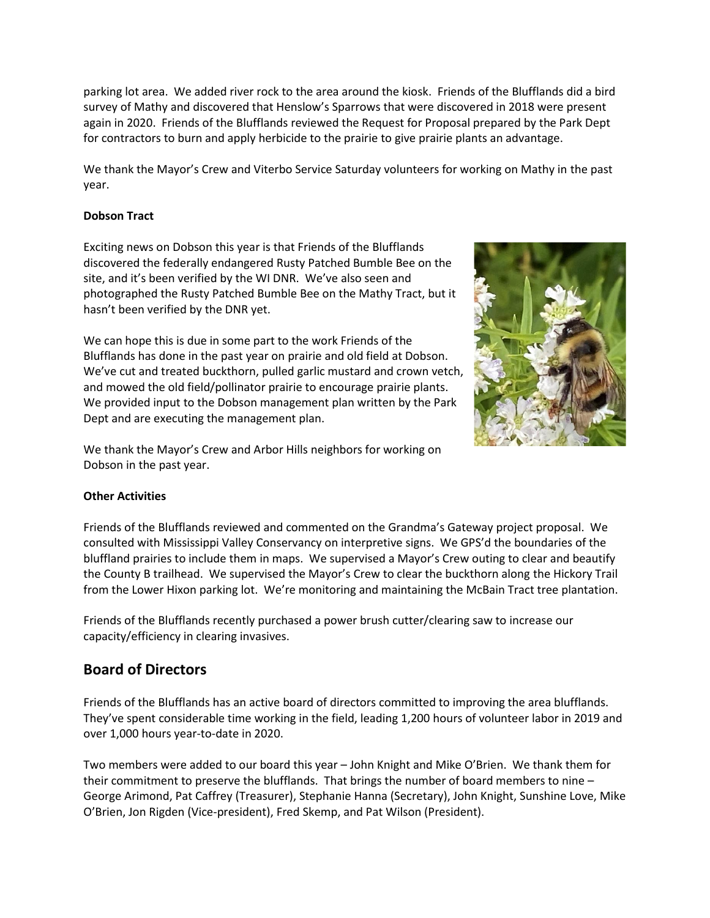parking lot area. We added river rock to the area around the kiosk. Friends of the Blufflands did a bird survey of Mathy and discovered that Henslow's Sparrows that were discovered in 2018 were present again in 2020. Friends of the Blufflands reviewed the Request for Proposal prepared by the Park Dept for contractors to burn and apply herbicide to the prairie to give prairie plants an advantage.

We thank the Mayor's Crew and Viterbo Service Saturday volunteers for working on Mathy in the past year.

## **Dobson Tract**

Exciting news on Dobson this year is that Friends of the Blufflands discovered the federally endangered Rusty Patched Bumble Bee on the site, and it's been verified by the WI DNR. We've also seen and photographed the Rusty Patched Bumble Bee on the Mathy Tract, but it hasn't been verified by the DNR yet.

We can hope this is due in some part to the work Friends of the Blufflands has done in the past year on prairie and old field at Dobson. We've cut and treated buckthorn, pulled garlic mustard and crown vetch, and mowed the old field/pollinator prairie to encourage prairie plants. We provided input to the Dobson management plan written by the Park Dept and are executing the management plan.



We thank the Mayor's Crew and Arbor Hills neighbors for working on Dobson in the past year.

## **Other Activities**

Friends of the Blufflands reviewed and commented on the Grandma's Gateway project proposal. We consulted with Mississippi Valley Conservancy on interpretive signs. We GPS'd the boundaries of the bluffland prairies to include them in maps. We supervised a Mayor's Crew outing to clear and beautify the County B trailhead. We supervised the Mayor's Crew to clear the buckthorn along the Hickory Trail from the Lower Hixon parking lot. We're monitoring and maintaining the McBain Tract tree plantation.

Friends of the Blufflands recently purchased a power brush cutter/clearing saw to increase our capacity/efficiency in clearing invasives.

## **Board of Directors**

Friends of the Blufflands has an active board of directors committed to improving the area blufflands. They've spent considerable time working in the field, leading 1,200 hours of volunteer labor in 2019 and over 1,000 hours year-to-date in 2020.

Two members were added to our board this year – John Knight and Mike O'Brien. We thank them for their commitment to preserve the blufflands. That brings the number of board members to nine – George Arimond, Pat Caffrey (Treasurer), Stephanie Hanna (Secretary), John Knight, Sunshine Love, Mike O'Brien, Jon Rigden (Vice-president), Fred Skemp, and Pat Wilson (President).